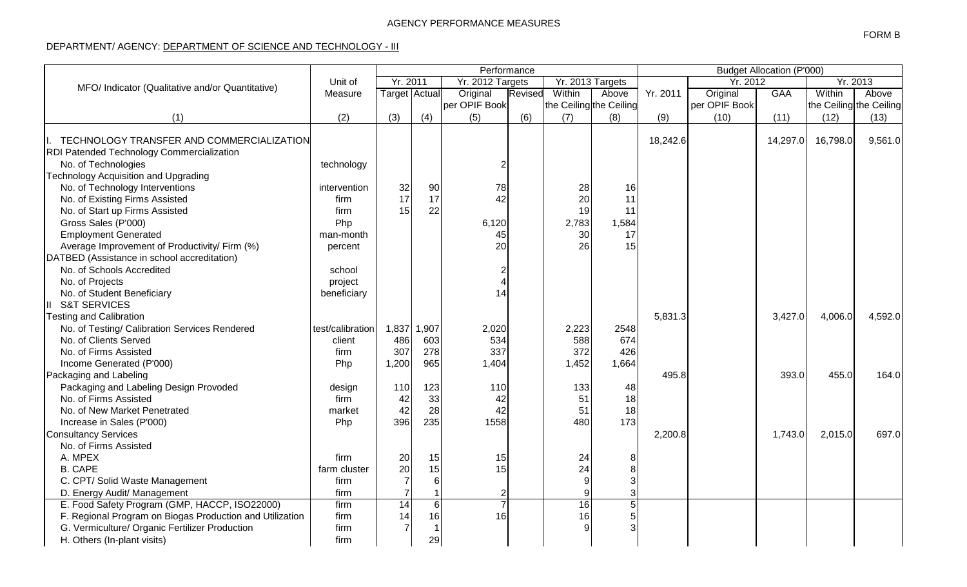## DEPARTMENT/ AGENCY: DEPARTMENT OF SCIENCE AND TECHNOLOGY - III

|                                                          |                    | Performance          |          |                  |         |                         |       |          | <b>Budget Allocation (P'000)</b> |            |          |                         |  |  |
|----------------------------------------------------------|--------------------|----------------------|----------|------------------|---------|-------------------------|-------|----------|----------------------------------|------------|----------|-------------------------|--|--|
| MFO/ Indicator (Qualitative and/or Quantitative)         | Unit of<br>Measure | Yr. 2011             |          | Yr. 2012 Targets |         | Yr. 2013 Targets        |       |          |                                  | Yr. 2012   |          | Yr. 2013                |  |  |
|                                                          |                    | <b>Target</b> Actual |          | Original         | Revised | Within                  | Above | Yr. 2011 | Original                         | <b>GAA</b> | Within   | Above                   |  |  |
|                                                          |                    |                      |          | per OPIF Book    |         | the Ceiling the Ceiling |       |          | per OPIF Book                    |            |          | the Ceiling the Ceiling |  |  |
| (1)                                                      | (2)                | (3)                  | (4)      | (5)              | (6)     | (7)                     | (8)   | (9)      | (10)                             | (11)       | (12)     | (13)                    |  |  |
|                                                          |                    |                      |          |                  |         |                         |       |          |                                  |            |          |                         |  |  |
| TECHNOLOGY TRANSFER AND COMMERCIALIZATION                |                    |                      |          |                  |         |                         |       | 18,242.6 |                                  | 14,297.0   | 16,798.0 | 9,561.0                 |  |  |
| RDI Patended Technology Commercialization                |                    |                      |          |                  |         |                         |       |          |                                  |            |          |                         |  |  |
| No. of Technologies                                      | technology         |                      |          | 2                |         |                         |       |          |                                  |            |          |                         |  |  |
| <b>Technology Acquisition and Upgrading</b>              |                    |                      |          |                  |         |                         |       |          |                                  |            |          |                         |  |  |
| No. of Technology Interventions                          | intervention       | 32                   | 90       | 78               |         | 28                      | 16    |          |                                  |            |          |                         |  |  |
| No. of Existing Firms Assisted                           | firm               | 17                   | 17       | 42               |         | 20                      | 11    |          |                                  |            |          |                         |  |  |
| No. of Start up Firms Assisted                           | firm               | 15                   | 22       |                  |         | 19                      | 11    |          |                                  |            |          |                         |  |  |
| Gross Sales (P'000)                                      | Php                |                      |          | 6,120            |         | 2,783                   | 1,584 |          |                                  |            |          |                         |  |  |
| <b>Employment Generated</b>                              | man-month          |                      |          | 45               |         | 30                      | 17    |          |                                  |            |          |                         |  |  |
| Average Improvement of Productivity/ Firm (%)            | percent            |                      |          | 20               |         | 26                      | 15    |          |                                  |            |          |                         |  |  |
| DATBED (Assistance in school accreditation)              |                    |                      |          |                  |         |                         |       |          |                                  |            |          |                         |  |  |
| No. of Schools Accredited                                | school             |                      |          |                  |         |                         |       |          |                                  |            |          |                         |  |  |
| No. of Projects                                          | project            |                      |          |                  |         |                         |       |          |                                  |            |          |                         |  |  |
| No. of Student Beneficiary                               | beneficiary        |                      |          | 14               |         |                         |       |          |                                  |            |          |                         |  |  |
| <b>S&amp;T SERVICES</b><br>Ш                             |                    |                      |          |                  |         |                         |       |          |                                  |            |          |                         |  |  |
| <b>Testing and Calibration</b>                           |                    |                      |          |                  |         |                         |       | 5,831.3  |                                  | 3,427.0    | 4,006.0  | 4,592.0                 |  |  |
| No. of Testing/ Calibration Services Rendered            | test/calibration   | 1,837                | 1,907    | 2,020            |         | 2,223                   | 2548  |          |                                  |            |          |                         |  |  |
| No. of Clients Served                                    | client             | 486                  | 603      | 534              |         | 588                     | 674   |          |                                  |            |          |                         |  |  |
| No. of Firms Assisted                                    | firm               | 307                  | 278      | 337              |         | 372                     | 426   |          |                                  |            |          |                         |  |  |
| Income Generated (P'000)                                 | Php                | 1,200                | 965      | 1,404            |         | 1,452                   | 1,664 |          |                                  |            |          |                         |  |  |
| Packaging and Labeling                                   |                    |                      |          |                  |         |                         |       | 495.8    |                                  | 393.0      | 455.0    | 164.0                   |  |  |
| Packaging and Labeling Design Provoded                   | design             | 110                  | 123      | 110              |         | 133                     | 48    |          |                                  |            |          |                         |  |  |
| No. of Firms Assisted                                    | firm               | 42                   | 33       | 42               |         | 51                      | 18    |          |                                  |            |          |                         |  |  |
| No. of New Market Penetrated                             | market             | 42                   | 28       | 42               |         | 51                      | 18    |          |                                  |            |          |                         |  |  |
| Increase in Sales (P'000)                                | Php                | 396                  | 235      | 1558             |         | 480                     | 173   |          |                                  |            |          |                         |  |  |
| <b>Consultancy Services</b>                              |                    |                      |          |                  |         |                         |       | 2,200.8  |                                  | 1,743.0    | 2,015.0  | 697.0                   |  |  |
| No. of Firms Assisted                                    |                    |                      |          |                  |         |                         |       |          |                                  |            |          |                         |  |  |
| A. MPEX                                                  | firm               | 20                   | 15       | 15               |         | 24                      |       |          |                                  |            |          |                         |  |  |
| <b>B. CAPE</b>                                           | farm cluster       | 20                   | 15       | 15               |         | 24                      |       |          |                                  |            |          |                         |  |  |
| C. CPT/ Solid Waste Management                           | firm               |                      | $6 \mid$ |                  |         |                         |       |          |                                  |            |          |                         |  |  |
| D. Energy Audit/ Management                              | firm               |                      |          |                  |         |                         |       |          |                                  |            |          |                         |  |  |
| E. Food Safety Program (GMP, HACCP, ISO22000)            | firm               | 14                   | 6        |                  |         | 16                      |       |          |                                  |            |          |                         |  |  |
| F. Regional Program on Biogas Production and Utilization | firm               | 14                   | 16       | 16               |         | 16                      |       |          |                                  |            |          |                         |  |  |
| G. Vermiculture/ Organic Fertilizer Production           | firm               |                      |          |                  |         |                         |       |          |                                  |            |          |                         |  |  |
| H. Others (In-plant visits)                              | firm               |                      | 29       |                  |         |                         |       |          |                                  |            |          |                         |  |  |